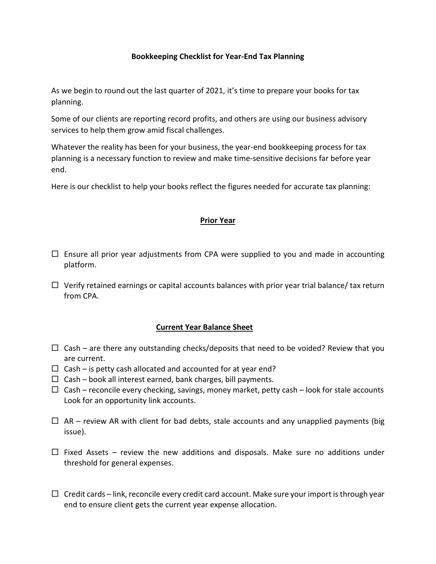# **Bookkeeping Checklist for Year-End Tax Planning**

As we begin to round out the last quarter of 2021, it's time to prepare your books for tax planning.

Some of our clients are reporting record profits, and others are using our business advisory services to help them grow amid fiscal challenges.

Whatever the reality has been for your business, the year-end bookkeeping process for tax planning is a necessary function to review and make time-sensitive decisions far before year end.

Here is our checklist to help your books reflect the figures needed for accurate tax planning:

## **Prior Year**

- $\Box$  Ensure all prior year adjustments from CPA were supplied to you and made in accounting platform.
- $\Box$  Verify retained earnings or capital accounts balances with prior year trial balance/ tax return from CPA.

## **Current Year Balance Sheet**

- $\Box$  Cash are there any outstanding checks/deposits that need to be voided? Review that you are current.
- $\Box$  Cash is petty cash allocated and accounted for at year end?
- $\Box$  Cash book all interest earned, bank charges, bill payments.
- $\Box$  Cash reconcile every checking, savings, money market, petty cash look for stale accounts Look for an opportunity link accounts.
- $\Box$  AR review AR with client for bad debts, stale accounts and any unapplied payments (big issue).
- $\Box$  Fixed Assets review the new additions and disposals. Make sure no additions under threshold for general expenses.
- $\Box$  Credit cards link, reconcile every credit card account. Make sure your import is through year end to ensure client gets the current year expense allocation.